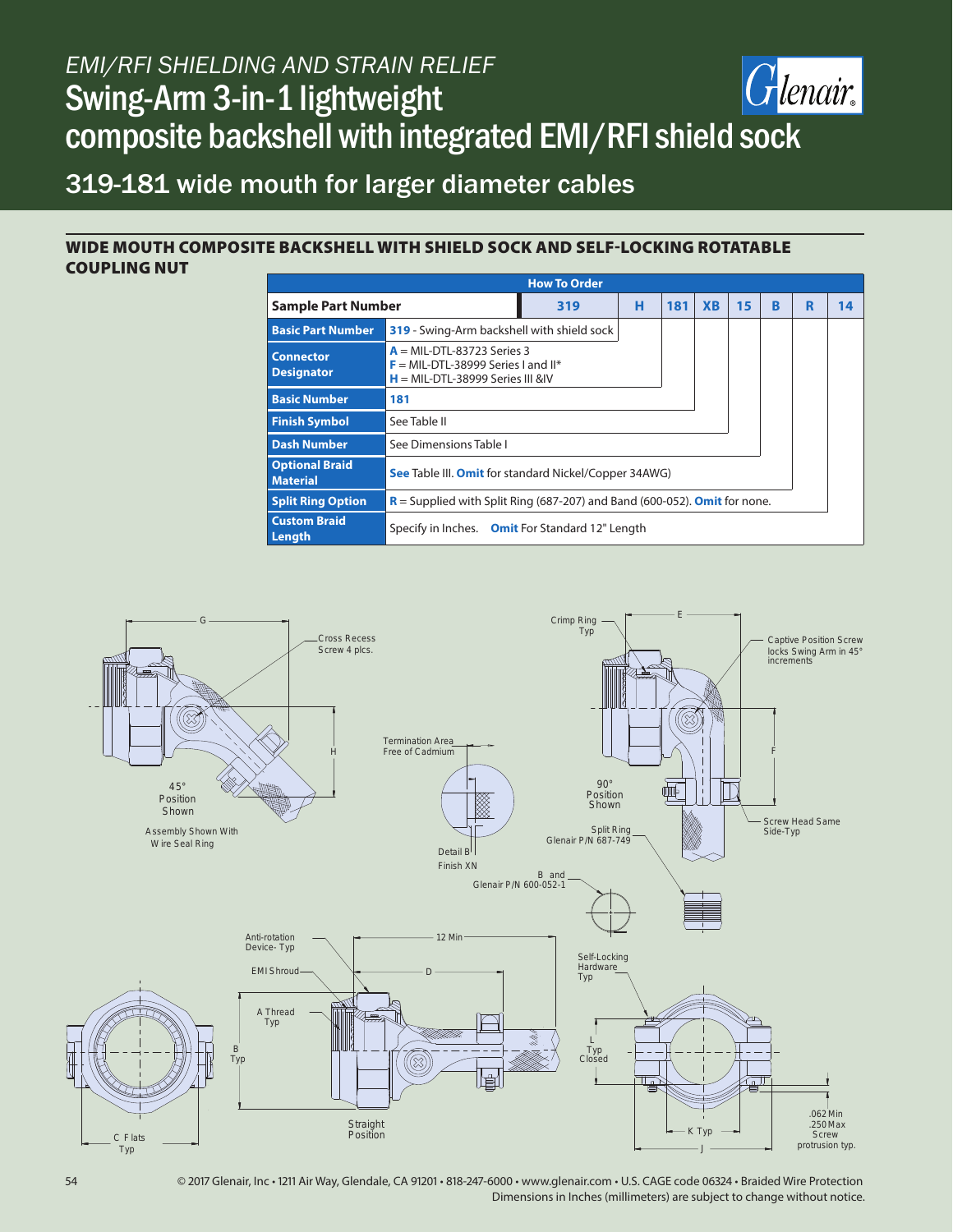## *EMI/RFI SHIELDING AND STRAIN RELIEF* Glenair. Swing-Arm 3-in-1 lightweight composite backshell with integrated EMI/RFI shield sock

# 319-181 wide mouth for larger diameter cables

### WIDE MOUTH COMPOSITE BACKSHELL WITH SHIELD SOCK AND SELF-LOCKING ROTATABLE COUPLING NUT

| <b>How To Order</b>                      |                                                                                                           |     |   |     |           |    |   |   |    |  |  |
|------------------------------------------|-----------------------------------------------------------------------------------------------------------|-----|---|-----|-----------|----|---|---|----|--|--|
| <b>Sample Part Number</b>                |                                                                                                           | 319 | н | 181 | <b>XB</b> | 15 | R | R | 14 |  |  |
| <b>Basic Part Number</b>                 | 319 - Swing-Arm backshell with shield sock                                                                |     |   |     |           |    |   |   |    |  |  |
| <b>Connector</b><br><b>Designator</b>    | $A = MIL-DTL-83723$ Series 3<br>$F = MIL-DTL-38999$ Series Land II*<br>$H = MIL-DTL-38999$ Series III &IV |     |   |     |           |    |   |   |    |  |  |
| <b>Basic Number</b>                      | 181                                                                                                       |     |   |     |           |    |   |   |    |  |  |
| <b>Finish Symbol</b>                     | See Table II                                                                                              |     |   |     |           |    |   |   |    |  |  |
| <b>Dash Number</b>                       | See Dimensions Table I                                                                                    |     |   |     |           |    |   |   |    |  |  |
| <b>Optional Braid</b><br><b>Material</b> | <b>See Table III. Omit for standard Nickel/Copper 34AWG)</b>                                              |     |   |     |           |    |   |   |    |  |  |
| <b>Split Ring Option</b>                 | $R =$ Supplied with Split Ring (687-207) and Band (600-052). <b>Omit</b> for none.                        |     |   |     |           |    |   |   |    |  |  |
| <b>Custom Braid</b><br>Length            | Specify in Inches. Omit For Standard 12" Length                                                           |     |   |     |           |    |   |   |    |  |  |



54 © 2017 Glenair, Inc • 1211 Air Way, Glendale, CA 91201 • 818-247-6000 • www.glenair.com • U.S. CAGE code 06324 • Braided Wire Protection Dimensions in Inches (millimeters) are subject to change without notice.